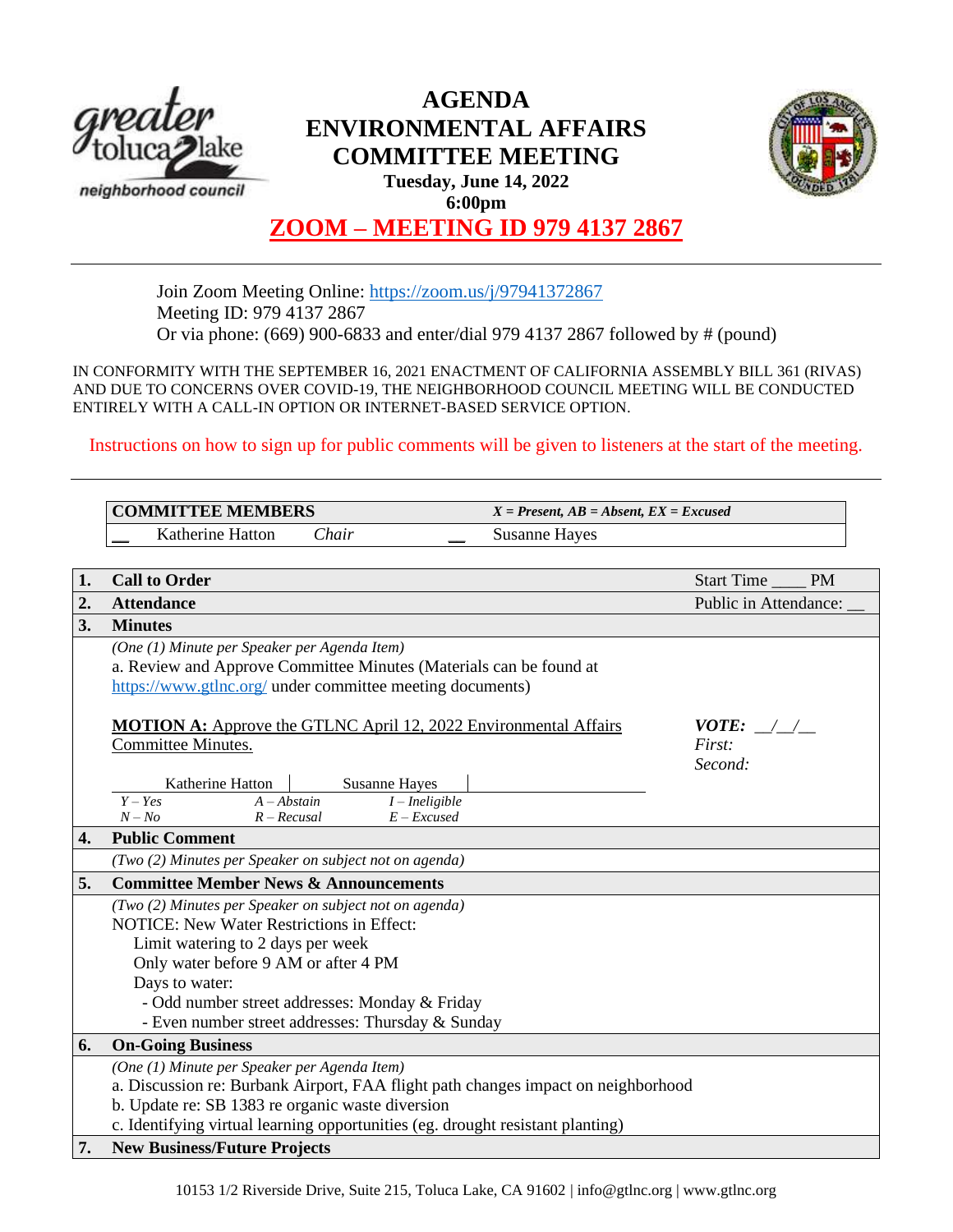

# **AGENDA ENVIRONMENTAL AFFAIRS COMMITTEE MEETING Tuesday, June 14, 2022 6:00pm**



# **ZOOM – MEETING ID 979 4137 2867**

Join Zoom Meeting Online:<https://zoom.us/j/97941372867> Meeting ID: 979 4137 2867 Or via phone: (669) 900-6833 and enter/dial 979 4137 2867 followed by # (pound)

IN CONFORMITY WITH THE SEPTEMBER 16, 2021 ENACTMENT OF CALIFORNIA ASSEMBLY BILL 361 (RIVAS) AND DUE TO CONCERNS OVER COVID-19, THE NEIGHBORHOOD COUNCIL MEETING WILL BE CONDUCTED ENTIRELY WITH A CALL-IN OPTION OR INTERNET-BASED SERVICE OPTION.

Instructions on how to sign up for public comments will be given to listeners at the start of the meeting.

|    | <b>COMMITTEE MEMBERS</b>                                                                                                                                                                                                                                                                                         | $X = Present, AB = Absent, EX = Excused$ |                                              |
|----|------------------------------------------------------------------------------------------------------------------------------------------------------------------------------------------------------------------------------------------------------------------------------------------------------------------|------------------------------------------|----------------------------------------------|
|    | Katherine Hatton<br>Chair                                                                                                                                                                                                                                                                                        | <b>Susanne Hayes</b>                     |                                              |
|    |                                                                                                                                                                                                                                                                                                                  |                                          |                                              |
| 1. | <b>Call to Order</b>                                                                                                                                                                                                                                                                                             |                                          | <b>Start Time</b><br><b>PM</b>               |
| 2. | <b>Attendance</b>                                                                                                                                                                                                                                                                                                |                                          | Public in Attendance:                        |
| 3. | <b>Minutes</b>                                                                                                                                                                                                                                                                                                   |                                          |                                              |
|    | (One (1) Minute per Speaker per Agenda Item)<br>a. Review and Approve Committee Minutes (Materials can be found at<br>https://www.gtlnc.org/ under committee meeting documents)                                                                                                                                  |                                          |                                              |
|    | <b>MOTION A:</b> Approve the GTLNC April 12, 2022 Environmental Affairs<br>Committee Minutes.<br><b>Susanne Hayes</b><br>Katherine Hatton<br>$Y - Yes$<br>$A - Abstain$<br>$I$ – Ineligible<br>$N - No$<br>$R - Recusal$<br>$E - Excused$                                                                        |                                          | <i>VOTE:</i> $\angle$ /<br>First:<br>Second: |
| 4. | <b>Public Comment</b>                                                                                                                                                                                                                                                                                            |                                          |                                              |
|    | (Two (2) Minutes per Speaker on subject not on agenda)                                                                                                                                                                                                                                                           |                                          |                                              |
| 5. | <b>Committee Member News &amp; Announcements</b>                                                                                                                                                                                                                                                                 |                                          |                                              |
|    | (Two (2) Minutes per Speaker on subject not on agenda)<br><b>NOTICE: New Water Restrictions in Effect:</b><br>Limit watering to 2 days per week<br>Only water before 9 AM or after 4 PM<br>Days to water:<br>- Odd number street addresses: Monday & Friday<br>- Even number street addresses: Thursday & Sunday |                                          |                                              |
| 6. | <b>On-Going Business</b>                                                                                                                                                                                                                                                                                         |                                          |                                              |
|    | (One (1) Minute per Speaker per Agenda Item)<br>a. Discussion re: Burbank Airport, FAA flight path changes impact on neighborhood<br>b. Update re: SB 1383 re organic waste diversion<br>c. Identifying virtual learning opportunities (eg. drought resistant planting)                                          |                                          |                                              |
| 7. | <b>New Business/Future Projects</b>                                                                                                                                                                                                                                                                              |                                          |                                              |